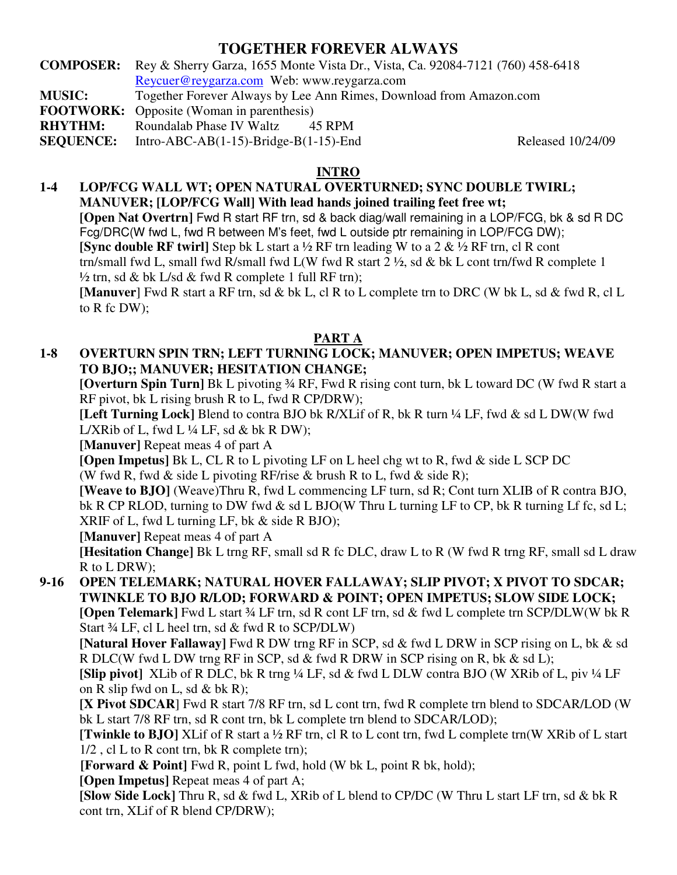# **TOGETHER FOREVER ALWAYS**

**COMPOSER:** Rey & Sherry Garza, 1655 Monte Vista Dr., Vista, Ca. 92084-7121 (760) 458-6418 Reycuer@reygarza.com Web: www.reygarza.com **MUSIC:** Together Forever Always by Lee Ann Rimes, Download from Amazon.com

**FOOTWORK:** Opposite (Woman in parenthesis)

**RHYTHM:** Roundalab Phase IV Waltz 45 RPM

**SEQUENCE:** Intro-ABC-AB(1-15)-Bridge-B(1-15)-End Released 10/24/09

### **INTRO**

**1-4 LOP/FCG WALL WT; OPEN NATURAL OVERTURNED; SYNC DOUBLE TWIRL; MANUVER; [LOP/FCG Wall] With lead hands joined trailing feet free wt; [Open Nat Overtrn]** Fwd R start RF trn, sd & back diag/wall remaining in a LOP/FCG, bk & sd R DC Fcg/DRC(W fwd L, fwd R between M's feet, fwd L outside ptr remaining in LOP/FCG DW); **[Sync double RF twirl]** Step bk L start a ½ RF trn leading W to a 2 & ½ RF trn, cl R cont trn/small fwd L, small fwd R/small fwd L(W fwd R start 2 ½, sd & bk L cont trn/fwd R complete 1  $\frac{1}{2}$  trn, sd & bk L/sd & fwd R complete 1 full RF trn); **[Manuver**] Fwd R start a RF trn, sd & bk L, cl R to L complete trn to DRC (W bk L, sd & fwd R, cl L to  $R$  fc DW);

# **PART A**

**1-8 OVERTURN SPIN TRN; LEFT TURNING LOCK; MANUVER; OPEN IMPETUS; WEAVE TO BJO;; MANUVER; HESITATION CHANGE;**

**[Overturn Spin Turn]** Bk L pivoting ¾ RF, Fwd R rising cont turn, bk L toward DC (W fwd R start a RF pivot, bk L rising brush R to L, fwd R CP/DRW);

**[Left Turning Lock]** Blend to contra BJO bk R/XLif of R, bk R turn ¼ LF, fwd & sd L DW(W fwd L/XRib of L, fwd L  $\frac{1}{4}$  LF, sd & bk R DW);

**[Manuver]** Repeat meas 4 of part A

**[Open Impetus]** Bk L, CL R to L pivoting LF on L heel chg wt to R, fwd & side L SCP DC (W fwd R, fwd & side L pivoting RF/rise & brush R to L, fwd & side R);

**[Weave to BJO]** (Weave)Thru R, fwd L commencing LF turn, sd R; Cont turn XLIB of R contra BJO, bk R CP RLOD, turning to DW fwd & sd L BJO(W Thru L turning LF to CP, bk R turning Lf fc, sd L; XRIF of L, fwd L turning LF, bk & side R BJO);

**[Manuver]** Repeat meas 4 of part A

**[Hesitation Change]** Bk L trng RF, small sd R fc DLC, draw L to R (W fwd R trng RF, small sd L draw R to L DRW);

**9-16 OPEN TELEMARK; NATURAL HOVER FALLAWAY; SLIP PIVOT; X PIVOT TO SDCAR; TWINKLE TO BJO R/LOD; FORWARD & POINT; OPEN IMPETUS; SLOW SIDE LOCK; [Open Telemark]** Fwd L start ¾ LF trn, sd R cont LF trn, sd & fwd L complete trn SCP/DLW(W bk R Start  $\frac{3}{4}$  LF, cl L heel trn, sd & fwd R to SCP/DLW)

**[Natural Hover Fallaway]** Fwd R DW trng RF in SCP, sd & fwd L DRW in SCP rising on L, bk & sd R DLC(W fwd L DW trng RF in SCP, sd & fwd R DRW in SCP rising on R, bk & sd L);

**[Slip pivot]** XLib of R DLC, bk R trng ¼ LF, sd & fwd L DLW contra BJO (W XRib of L, piv ¼ LF on R slip fwd on L, sd  $& b \& R$ ;

**[X Pivot SDCAR**] Fwd R start 7/8 RF trn, sd L cont trn, fwd R complete trn blend to SDCAR/LOD (W bk L start 7/8 RF trn, sd R cont trn, bk L complete trn blend to SDCAR/LOD);

**[Twinkle to BJO]** XLif of R start a ½ RF trn, cl R to L cont trn, fwd L complete trn(W XRib of L start 1/2 , cl L to R cont trn, bk R complete trn);

**[Forward & Point]** Fwd R, point L fwd, hold (W bk L, point R bk, hold);

**[Open Impetus]** Repeat meas 4 of part A;

**[Slow Side Lock]** Thru R, sd & fwd L, XRib of L blend to CP/DC (W Thru L start LF trn, sd & bk R cont trn, XLif of R blend CP/DRW);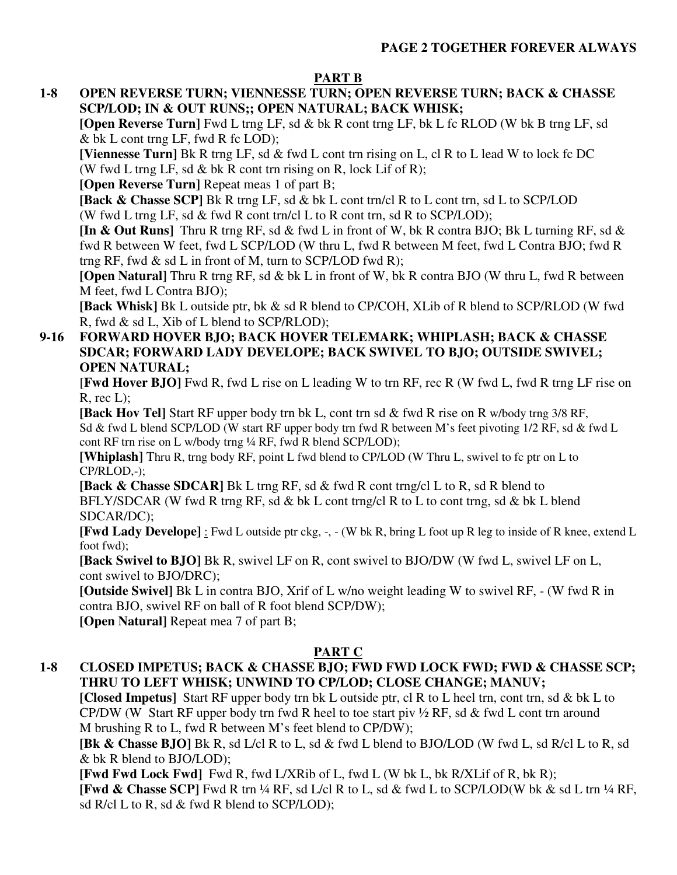# **PART B**

**1-8 OPEN REVERSE TURN; VIENNESSE TURN; OPEN REVERSE TURN; BACK & CHASSE SCP/LOD; IN & OUT RUNS;; OPEN NATURAL; BACK WHISK;**

**[Open Reverse Turn]** Fwd L trng LF, sd & bk R cont trng LF, bk L fc RLOD (W bk B trng LF, sd & bk L cont trng LF, fwd R fc LOD);

**[Viennesse Turn]** Bk R trng LF, sd & fwd L cont trn rising on L, cl R to L lead W to lock fc DC (W fwd L trng LF, sd  $\&$  bk R cont trn rising on R, lock Lif of R);

**[Open Reverse Turn]** Repeat meas 1 of part B;

**[Back & Chasse SCP]** Bk R trng LF, sd & bk L cont trn/cl R to L cont trn, sd L to SCP/LOD (W fwd L trng LF, sd  $\&$  fwd R cont trn/cl L to R cont trn, sd R to SCP/LOD);

**[In & Out Runs]** Thru R trng RF, sd & fwd L in front of W, bk R contra BJO; Bk L turning RF, sd & fwd R between W feet, fwd L SCP/LOD (W thru L, fwd R between M feet, fwd L Contra BJO; fwd R trng RF, fwd  $\&$  sd L in front of M, turn to SCP/LOD fwd R);

**[Open Natural]** Thru R trng RF, sd & bk L in front of W, bk R contra BJO (W thru L, fwd R between M feet, fwd L Contra BJO);

**[Back Whisk]** Bk L outside ptr, bk & sd R blend to CP/COH, XLib of R blend to SCP/RLOD (W fwd R, fwd & sd L, Xib of L blend to SCP/RLOD);

#### **9-16 FORWARD HOVER BJO; BACK HOVER TELEMARK; WHIPLASH; BACK & CHASSE SDCAR; FORWARD LADY DEVELOPE; BACK SWIVEL TO BJO; OUTSIDE SWIVEL; OPEN NATURAL;**

[**Fwd Hover BJO]** Fwd R, fwd L rise on L leading W to trn RF, rec R (W fwd L, fwd R trng LF rise on  $R$ , rec  $L$ );

**[Back Hov Tel]** Start RF upper body trn bk L, cont trn sd & fwd R rise on R w/body trng 3/8 RF, Sd & fwd L blend SCP/LOD (W start RF upper body trn fwd R between M's feet pivoting 1/2 RF, sd & fwd L cont RF trn rise on L w/body trng ¼ RF, fwd R blend SCP/LOD);

**[Whiplash]** Thru R, trng body RF, point L fwd blend to CP/LOD (W Thru L, swivel to fc ptr on L to CP/RLOD,-);

**[Back & Chasse SDCAR]** Bk L trng RF, sd & fwd R cont trng/cl L to R, sd R blend to BFLY/SDCAR (W fwd R trng RF, sd & bk L cont trng/cl R to L to cont trng, sd & bk L blend SDCAR/DC);

**[Fwd Lady Develope]** : Fwd L outside ptr ckg, -, - (W bk R, bring L foot up R leg to inside of R knee, extend L foot fwd);

**[Back Swivel to BJO]** Bk R, swivel LF on R, cont swivel to BJO/DW (W fwd L, swivel LF on L, cont swivel to BJO/DRC);

**[Outside Swivel]** Bk L in contra BJO, Xrif of L w/no weight leading W to swivel RF, - (W fwd R in contra BJO, swivel RF on ball of R foot blend SCP/DW);

**[Open Natural]** Repeat mea 7 of part B;

# **PART C**

# **1-8 CLOSED IMPETUS; BACK & CHASSE BJO; FWD FWD LOCK FWD; FWD & CHASSE SCP; THRU TO LEFT WHISK; UNWIND TO CP/LOD; CLOSE CHANGE; MANUV;**

**[Closed Impetus]** Start RF upper body trn bk L outside ptr, cl R to L heel trn, cont trn, sd & bk L to CP/DW (W Start RF upper body trn fwd R heel to toe start piv  $\frac{1}{2}$  RF, sd & fwd L cont trn around M brushing R to L, fwd R between M's feet blend to CP/DW);

**[Bk & Chasse BJO]** Bk R, sd L/cl R to L, sd & fwd L blend to BJO/LOD (W fwd L, sd R/cl L to R, sd & bk R blend to BJO/LOD);

**[Fwd Fwd Lock Fwd]** Fwd R, fwd L/XRib of L, fwd L (W bk L, bk R/XLif of R, bk R);

**[Fwd & Chasse SCP]** Fwd R trn ¼ RF, sd L/cl R to L, sd & fwd L to SCP/LOD(W bk & sd L trn ¼ RF, sd R/cl L to R, sd & fwd R blend to SCP/LOD);